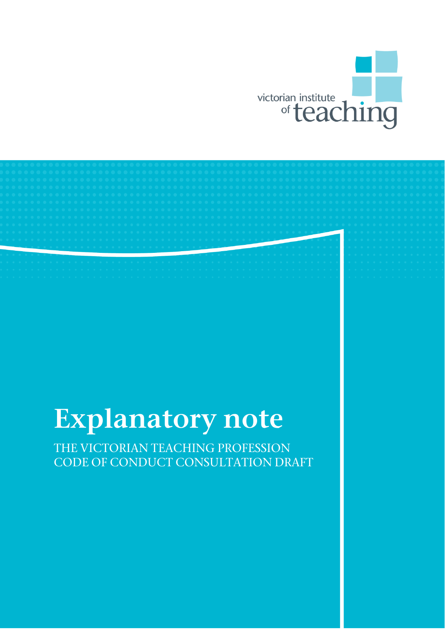

# *Explanatory note*

THE VICTORIAN TEACHING PROFESSION CODE OF CONDUCT CONSULTATION DRAFT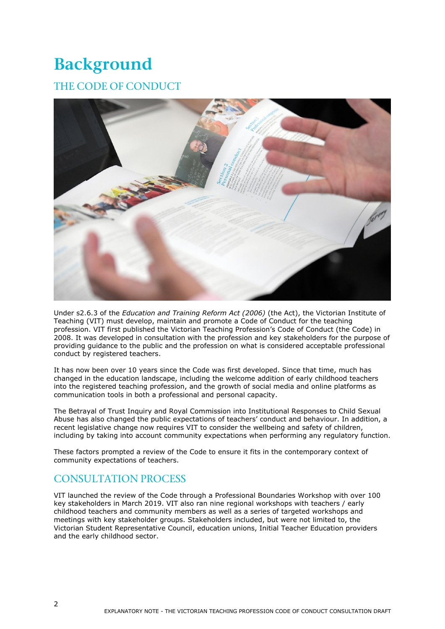## *Background*

## THE CODE OF CONDUCT



Under s2.6.3 of the *Education and Training Reform Act (2006)* (the Act), the Victorian Institute of Teaching (VIT) must develop, maintain and promote a Code of Conduct for the teaching profession. VIT first published the Victorian Teaching Profession's Code of Conduct (the Code) in 2008. It was developed in consultation with the profession and key stakeholders for the purpose of providing guidance to the public and the profession on what is considered acceptable professional conduct by registered teachers.

It has now been over 10 years since the Code was first developed. Since that time, much has changed in the education landscape, including the welcome addition of early childhood teachers into the registered teaching profession, and the growth of social media and online platforms as communication tools in both a professional and personal capacity.

The Betrayal of Trust Inquiry and Royal Commission into Institutional Responses to Child Sexual Abuse has also changed the public expectations of teachers' conduct and behaviour. In addition, a recent legislative change now requires VIT to consider the wellbeing and safety of children, including by taking into account community expectations when performing any regulatory function.

These factors prompted a review of the Code to ensure it fits in the contemporary context of community expectations of teachers.

### CONSULTATION PROCESS

VIT launched the review of the Code through a Professional Boundaries Workshop with over 100 key stakeholders in March 2019. VIT also ran nine regional workshops with teachers / early childhood teachers and community members as well as a series of targeted workshops and meetings with key stakeholder groups. Stakeholders included, but were not limited to, the Victorian Student Representative Council, education unions, Initial Teacher Education providers and the early childhood sector.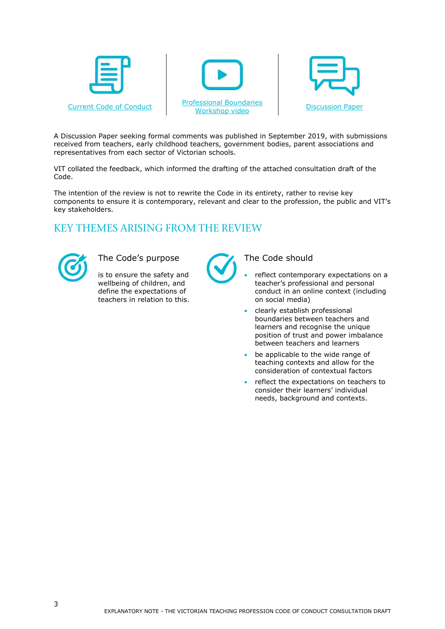





A Discussion Paper seeking formal comments was published in September 2019, with submissions received from teachers, early childhood teachers, government bodies, parent associations and representatives from each sector of Victorian schools.

VIT collated the feedback, which informed the drafting of the attached consultation draft of the Code.

The intention of the review is not to rewrite the Code in its entirety, rather to revise key components to ensure it is contemporary, relevant and clear to the profession, the public and VIT's key stakeholders.

## KEY THEMES ARISING FROM THE REVIEW



The Code's purpose The Code should

is to ensure the safety and wellbeing of children, and define the expectations of teachers in relation to this.



- reflect contemporary expectations on a teacher's professional and personal conduct in an online context (including on social media)
- clearly establish professional boundaries between teachers and learners and recognise the unique position of trust and power imbalance between teachers and learners
- be applicable to the wide range of teaching contexts and allow for the consideration of contextual factors
- reflect the expectations on teachers to consider their learners' individual needs, background and contexts.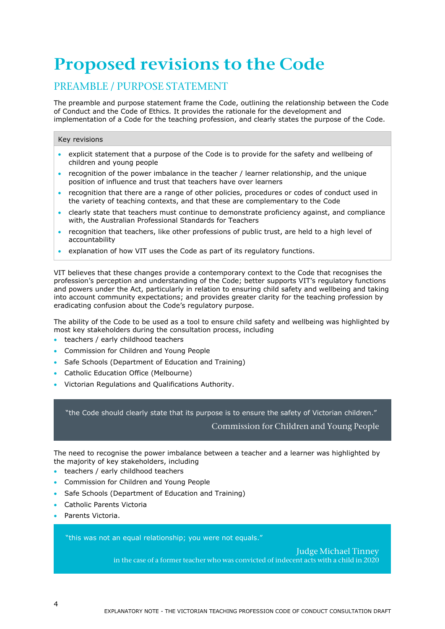## *Proposed revisions to the Code*

## PREAMBLE / PURPOSE STATEMENT

The preamble and purpose statement frame the Code, outlining the relationship between the Code of Conduct and the Code of Ethics. It provides the rationale for the development and implementation of a Code for the teaching profession, and clearly states the purpose of the Code.

#### Key revisions

- explicit statement that a purpose of the Code is to provide for the safety and wellbeing of children and young people
- recognition of the power imbalance in the teacher / learner relationship, and the unique position of influence and trust that teachers have over learners
- recognition that there are a range of other policies, procedures or codes of conduct used in the variety of teaching contexts, and that these are complementary to the Code
- clearly state that teachers must continue to demonstrate proficiency against, and compliance with, the Australian Professional Standards for Teachers
- recognition that teachers, like other professions of public trust, are held to a high level of accountability
- explanation of how VIT uses the Code as part of its regulatory functions.

VIT believes that these changes provide a contemporary context to the Code that recognises the profession's perception and understanding of the Code; better supports VIT's regulatory functions and powers under the Act, particularly in relation to ensuring child safety and wellbeing and taking into account community expectations; and provides greater clarity for the teaching profession by eradicating confusion about the Code's regulatory purpose.

The ability of the Code to be used as a tool to ensure child safety and wellbeing was highlighted by most key stakeholders during the consultation process, including

- teachers / early childhood teachers
- Commission for Children and Young People
- Safe Schools (Department of Education and Training)
- Catholic Education Office (Melbourne)
- Victorian Regulations and Qualifications Authority.

"the Code should clearly state that its purpose is to ensure the safety of Victorian children." Commission for Children and Young People

The need to recognise the power imbalance between a teacher and a learner was highlighted by the majority of key stakeholders, including

- teachers / early childhood teachers
- Commission for Children and Young People
- Safe Schools (Department of Education and Training)
- Catholic Parents Victoria
- Parents Victoria.

"this was not an equal relationship; you were not equals."

Judge Michael Tinney in the case of a former teacher who was convicted of indecent acts with a child in 2020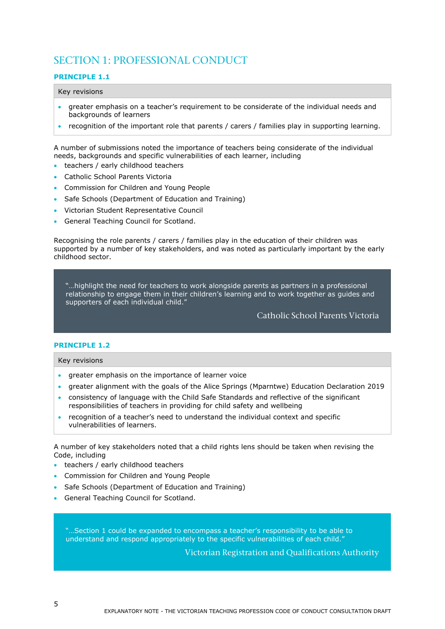## SECTION 1: PROFESSIONAL CONDUCT

#### **PRINCIPLE 1.1**

#### Key revisions

- greater emphasis on a teacher's requirement to be considerate of the individual needs and backgrounds of learners
- recognition of the important role that parents / carers / families play in supporting learning.

A number of submissions noted the importance of teachers being considerate of the individual needs, backgrounds and specific vulnerabilities of each learner, including

- teachers / early childhood teachers
- Catholic School Parents Victoria
- Commission for Children and Young People
- Safe Schools (Department of Education and Training)
- Victorian Student Representative Council
- General Teaching Council for Scotland.

Recognising the role parents / carers / families play in the education of their children was supported by a number of key stakeholders, and was noted as particularly important by the early childhood sector.

"…highlight the need for teachers to work alongside parents as partners in a professional relationship to engage them in their children's learning and to work together as guides and supporters of each individual child."

Catholic School Parents Victoria

#### **PRINCIPLE 1.2**

Key revisions

- **•** greater emphasis on the importance of learner voice
- greater alignment with the goals of the Alice Springs (Mparntwe) Education Declaration 2019
- consistency of language with the Child Safe Standards and reflective of the significant responsibilities of teachers in providing for child safety and wellbeing
- recognition of a teacher's need to understand the individual context and specific vulnerabilities of learners.

A number of key stakeholders noted that a child rights lens should be taken when revising the Code, including

- teachers / early childhood teachers
- Commission for Children and Young People
- Safe Schools (Department of Education and Training)
- **General Teaching Council for Scotland.**

"…Section 1 could be expanded to encompass a teacher's responsibility to be able to understand and respond appropriately to the specific vulnerabilities of each child."

Victorian Registration and Qualifications Authority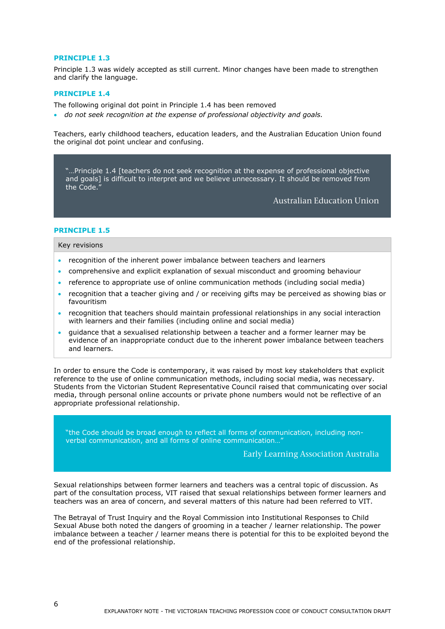#### **PRINCIPLE 1.3**

Principle 1.3 was widely accepted as still current. Minor changes have been made to strengthen and clarify the language.

#### **PRINCIPLE 1.4**

The following original dot point in Principle 1.4 has been removed

*do not seek recognition at the expense of professional objectivity and goals.*

Teachers, early childhood teachers, education leaders, and the Australian Education Union found the original dot point unclear and confusing.

"…Principle 1.4 [teachers do not seek recognition at the expense of professional objective and goals] is difficult to interpret and we believe unnecessary. It should be removed from the Code."

Australian Education Union

#### **PRINCIPLE 1.5**

Key revisions

- recognition of the inherent power imbalance between teachers and learners
- comprehensive and explicit explanation of sexual misconduct and grooming behaviour
- reference to appropriate use of online communication methods (including social media)
- recognition that a teacher giving and / or receiving gifts may be perceived as showing bias or favouritism
- recognition that teachers should maintain professional relationships in any social interaction with learners and their families (including online and social media)
- guidance that a sexualised relationship between a teacher and a former learner may be evidence of an inappropriate conduct due to the inherent power imbalance between teachers and learners.

In order to ensure the Code is contemporary, it was raised by most key stakeholders that explicit reference to the use of online communication methods, including social media, was necessary. Students from the Victorian Student Representative Council raised that communicating over social media, through personal online accounts or private phone numbers would not be reflective of an appropriate professional relationship.

"the Code should be broad enough to reflect all forms of communication, including nonverbal communication, and all forms of online communication…"

Early Learning Association Australia

Sexual relationships between former learners and teachers was a central topic of discussion. As part of the consultation process, VIT raised that sexual relationships between former learners and teachers was an area of concern, and several matters of this nature had been referred to VIT.

The Betrayal of Trust Inquiry and the Royal Commission into Institutional Responses to Child Sexual Abuse both noted the dangers of grooming in a teacher / learner relationship. The power imbalance between a teacher / learner means there is potential for this to be exploited beyond the end of the professional relationship.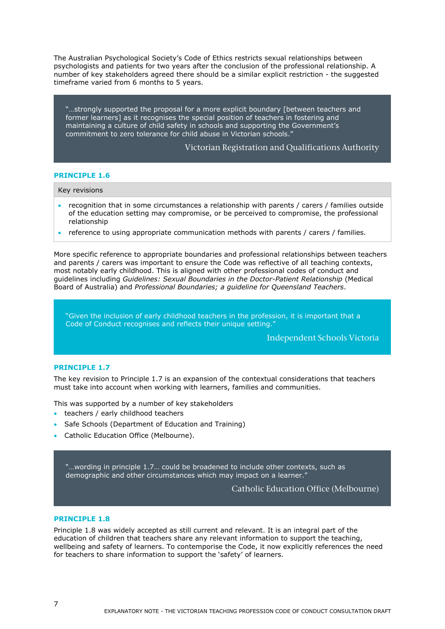The Australian Psychological Society's Code of Ethics restricts sexual relationships between psychologists and patients for two years after the conclusion of the professional relationship. A number of key stakeholders agreed there should be a similar explicit restriction - the suggested timeframe varied from 6 months to 5 years.

"…strongly supported the proposal for a more explicit boundary [between teachers and former learners] as it recognises the special position of teachers in fostering and maintaining a culture of child safety in schools and supporting the Government's commitment to zero tolerance for child abuse in Victorian schools."

#### Victorian Registration and Qualifications Authority

#### **PRINCIPLE 1.6**

#### Key revisions

- recognition that in some circumstances a relationship with parents / carers / families outside of the education setting may compromise, or be perceived to compromise, the professional relationship
- reference to using appropriate communication methods with parents / carers / families.

More specific reference to appropriate boundaries and professional relationships between teachers and parents / carers was important to ensure the Code was reflective of all teaching contexts, most notably early childhood. This is aligned with other professional codes of conduct and guidelines including *Guidelines: Sexual Boundaries in the Doctor-Patient Relationship* (Medical Board of Australia) and *Professional Boundaries; a guideline for Queensland Teachers*.

"Given the inclusion of early childhood teachers in the profession, it is important that a Code of Conduct recognises and reflects their unique setting."

Independent Schools Victoria

#### **PRINCIPLE 1.7**

The key revision to Principle 1.7 is an expansion of the contextual considerations that teachers must take into account when working with learners, families and communities.

This was supported by a number of key stakeholders

- teachers / early childhood teachers
- Safe Schools (Department of Education and Training)
- Catholic Education Office (Melbourne).

"…wording in principle 1.7… could be broadened to include other contexts, such as demographic and other circumstances which may impact on a learner."

Catholic Education Office (Melbourne)

#### **PRINCIPLE 1.8**

Principle 1.8 was widely accepted as still current and relevant. It is an integral part of the education of children that teachers share any relevant information to support the teaching, wellbeing and safety of learners. To contemporise the Code, it now explicitly references the need for teachers to share information to support the 'safety' of learners.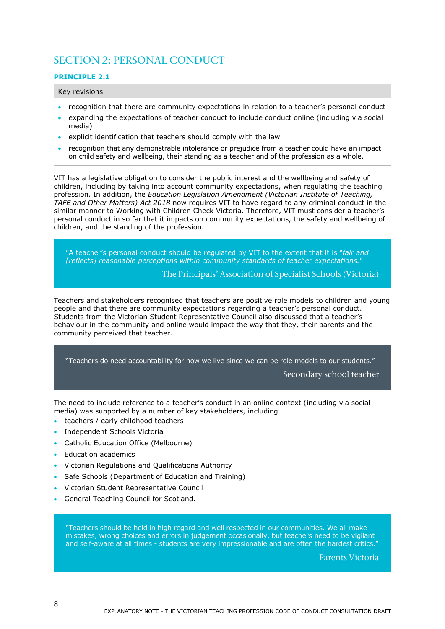## SECTION 2: PERSONAL CONDUCT

#### **PRINCIPLE 2.1**

#### Key revisions

- recognition that there are community expectations in relation to a teacher's personal conduct
- expanding the expectations of teacher conduct to include conduct online (including via social media)
- explicit identification that teachers should comply with the law
- recognition that any demonstrable intolerance or prejudice from a teacher could have an impact on child safety and wellbeing, their standing as a teacher and of the profession as a whole.

VIT has a legislative obligation to consider the public interest and the wellbeing and safety of children, including by taking into account community expectations, when regulating the teaching profession. In addition, the *Education Legislation Amendment (Victorian Institute of Teaching, TAFE and Other Matters) Act 2018* now requires VIT to have regard to any criminal conduct in the similar manner to Working with Children Check Victoria. Therefore, VIT must consider a teacher's personal conduct in so far that it impacts on community expectations, the safety and wellbeing of children, and the standing of the profession.

"A teacher's personal conduct should be regulated by VIT to the extent that it is "*fair and [reflects] reasonable perceptions within community standards of teacher expectations.*"

The Principals' Association of Specialist Schools (Victoria)

Teachers and stakeholders recognised that teachers are positive role models to children and young people and that there are community expectations regarding a teacher's personal conduct. Students from the Victorian Student Representative Council also discussed that a teacher's behaviour in the community and online would impact the way that they, their parents and the community perceived that teacher.

"Teachers do need accountability for how we live since we can be role models to our students."

Secondary school teacher

The need to include reference to a teacher's conduct in an online context (including via social media) was supported by a number of key stakeholders, including

- teachers / early childhood teachers
- Independent Schools Victoria
- **Catholic Education Office (Melbourne)**
- Education academics
- Victorian Regulations and Qualifications Authority
- Safe Schools (Department of Education and Training)
- Victorian Student Representative Council
- General Teaching Council for Scotland.

"Teachers should be held in high regard and well respected in our communities. We all make mistakes, wrong choices and errors in judgement occasionally, but teachers need to be vigilant and self-aware at all times - students are very impressionable and are often the hardest critics."

Parents Victoria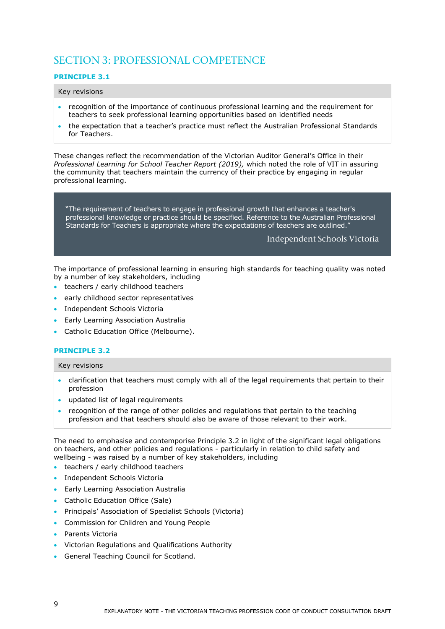## SECTION 3: PROFESSIONAL COMPETENCE

#### **PRINCIPLE 3.1**

#### Key revisions

- recognition of the importance of continuous professional learning and the requirement for teachers to seek professional learning opportunities based on identified needs
- the expectation that a teacher's practice must reflect the Australian Professional Standards for Teachers.

These changes reflect the recommendation of the Victorian Auditor General's Office in their *Professional Learning for School Teacher Report (2019),* which noted the role of VIT in assuring the community that teachers maintain the currency of their practice by engaging in regular professional learning.

"The requirement of teachers to engage in professional growth that enhances a teacher's professional knowledge or practice should be specified. Reference to the Australian Professional Standards for Teachers is appropriate where the expectations of teachers are outlined."

#### Independent Schools Victoria

The importance of professional learning in ensuring high standards for teaching quality was noted by a number of key stakeholders, including

- teachers / early childhood teachers
- early childhood sector representatives
- **Independent Schools Victoria**
- Early Learning Association Australia
- **•** Catholic Education Office (Melbourne).

#### **PRINCIPLE 3.2**

#### Key revisions

- clarification that teachers must comply with all of the legal requirements that pertain to their profession
- updated list of legal requirements
- recognition of the range of other policies and regulations that pertain to the teaching profession and that teachers should also be aware of those relevant to their work.

The need to emphasise and contemporise Principle 3.2 in light of the significant legal obligations on teachers, and other policies and regulations - particularly in relation to child safety and wellbeing - was raised by a number of key stakeholders, including

- teachers / early childhood teachers
- Independent Schools Victoria
- Early Learning Association Australia
- Catholic Education Office (Sale)
- Principals' Association of Specialist Schools (Victoria)
- Commission for Children and Young People
- Parents Victoria
- Victorian Regulations and Qualifications Authority
- **General Teaching Council for Scotland.**